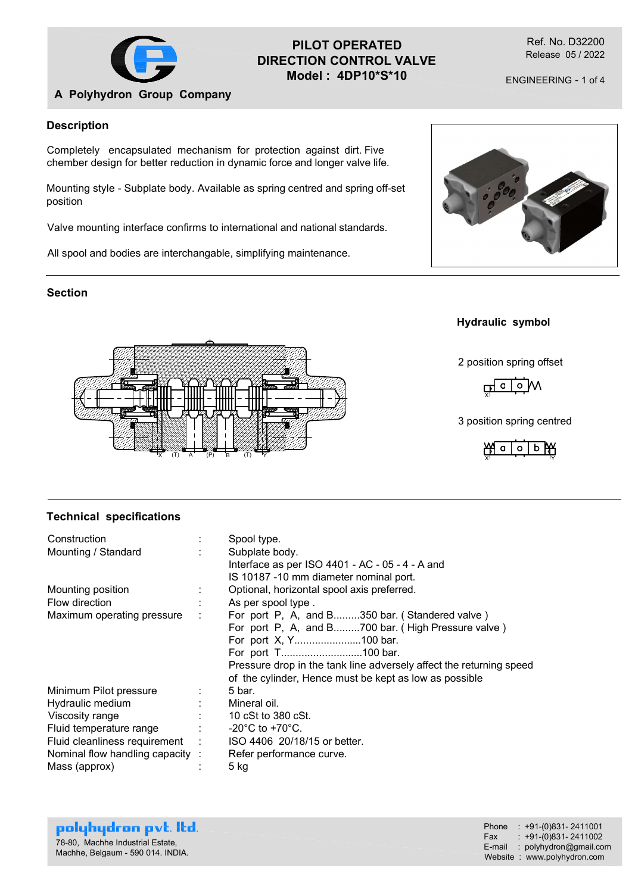

# PILOT OPERATED DIRECTION CONTROL VALVE Model : 4DP10\*S\*10

Ref. No. D32200 Release 05 / 2022

ENGINEERING - 1 of 4

## A Polyhydron Group Company

#### Description

Completely encapsulated mechanism for protection against dirt. Five chember design for better reduction in dynamic force and longer valve life.

Mounting style - Subplate body. Available as spring centred and spring off-set position

Valve mounting interface confirms to international and national standards.

All spool and bodies are interchangable, simplifying maintenance.











#### Technical specifications

| <b>Section</b>                                                                                |                                                                                                                                                                                                                                                                                      |                                                                                                                               |
|-----------------------------------------------------------------------------------------------|--------------------------------------------------------------------------------------------------------------------------------------------------------------------------------------------------------------------------------------------------------------------------------------|-------------------------------------------------------------------------------------------------------------------------------|
|                                                                                               |                                                                                                                                                                                                                                                                                      | <b>Hydraulic symbol</b>                                                                                                       |
|                                                                                               |                                                                                                                                                                                                                                                                                      | 2 position spring offset                                                                                                      |
|                                                                                               |                                                                                                                                                                                                                                                                                      | $M$ o   o                                                                                                                     |
|                                                                                               |                                                                                                                                                                                                                                                                                      | 3 position spring centred                                                                                                     |
| (T)<br>A                                                                                      | (T)<br>(P)<br>B.                                                                                                                                                                                                                                                                     | b PAY<br>$\circ$                                                                                                              |
|                                                                                               |                                                                                                                                                                                                                                                                                      |                                                                                                                               |
| <b>Technical specifications</b>                                                               |                                                                                                                                                                                                                                                                                      |                                                                                                                               |
| Construction<br>Mounting / Standard                                                           | Spool type.<br>Subplate body.<br>Interface as per ISO 4401 - AC - 05 - 4 - A and<br>IS 10187 -10 mm diameter nominal port.                                                                                                                                                           |                                                                                                                               |
| Mounting position<br>Flow direction                                                           | Optional, horizontal spool axis preferred.<br>As per spool type.                                                                                                                                                                                                                     |                                                                                                                               |
| Maximum operating pressure                                                                    | For port P, A, and B350 bar. (Standered valve)<br>For port P, A, and B700 bar. (High Pressure valve)<br>For port X, Y100 bar.<br>For port T100 bar.<br>Pressure drop in the tank line adversely affect the returning speed<br>of the cylinder, Hence must be kept as low as possible |                                                                                                                               |
| Minimum Pilot pressure                                                                        | 5 bar.                                                                                                                                                                                                                                                                               |                                                                                                                               |
| Hydraulic medium                                                                              | Mineral oil.                                                                                                                                                                                                                                                                         |                                                                                                                               |
| Viscosity range                                                                               | 10 cSt to 380 cSt.                                                                                                                                                                                                                                                                   |                                                                                                                               |
| Fluid temperature range<br>Fluid cleanliness requirement                                      | -20 $^{\circ}$ C to +70 $^{\circ}$ C.<br>ISO 4406 20/18/15 or better.                                                                                                                                                                                                                |                                                                                                                               |
| Nominal flow handling capacity :                                                              | Refer performance curve.                                                                                                                                                                                                                                                             |                                                                                                                               |
| Mass (approx)                                                                                 | 5 kg                                                                                                                                                                                                                                                                                 |                                                                                                                               |
|                                                                                               |                                                                                                                                                                                                                                                                                      |                                                                                                                               |
| polyhydron pvt. Itd.<br>78-80, Machhe Industrial Estate,<br>Machhe, Belgaum - 590 014. INDIA. |                                                                                                                                                                                                                                                                                      | Phone : +91-(0)831-2411001<br>$: +91-(0)831 - 2411002$<br>Fax<br>E-mail : polyhydron@gmail.com<br>Website: www.polyhydron.com |
|                                                                                               |                                                                                                                                                                                                                                                                                      |                                                                                                                               |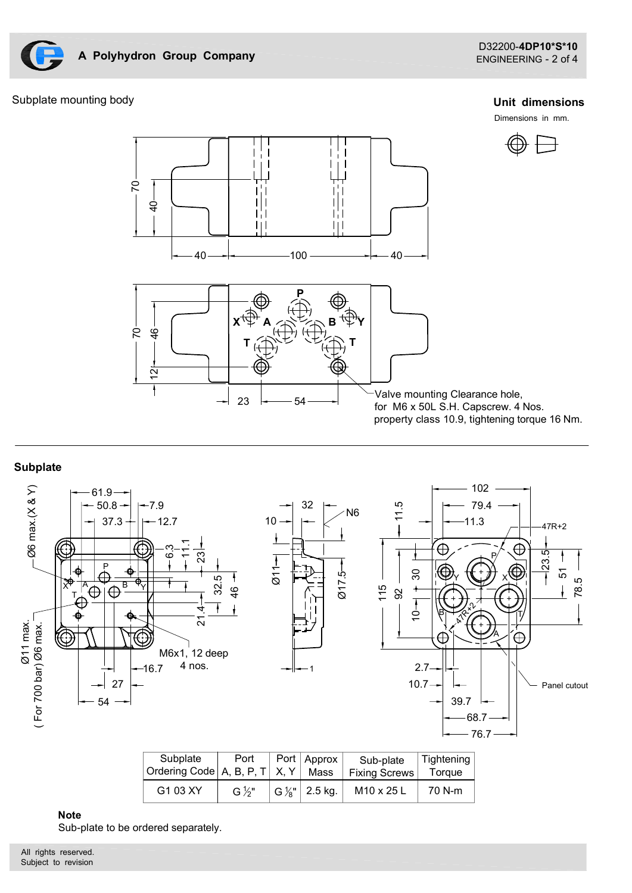

## Subplate mounting body

#### Unit dimensions

Dimensions in mm.



## **Subplate**



| Subplate<br>Ordering Code   A, B, P, T   X, Y | Port              | Port | <b>Approx</b><br>Mass                   | Sub-plate<br><b>Fixing Screws</b> | Tightening<br><b>Toraue</b> |
|-----------------------------------------------|-------------------|------|-----------------------------------------|-----------------------------------|-----------------------------|
| G1 03 XY                                      | G $\frac{1}{2}$ " |      | $\mathsf{G}\mathcal{V}_{8}$ "   2.5 kg. | M10 x 25 L                        | 70 N-m                      |

#### Note

Sub-plate to be ordered separately.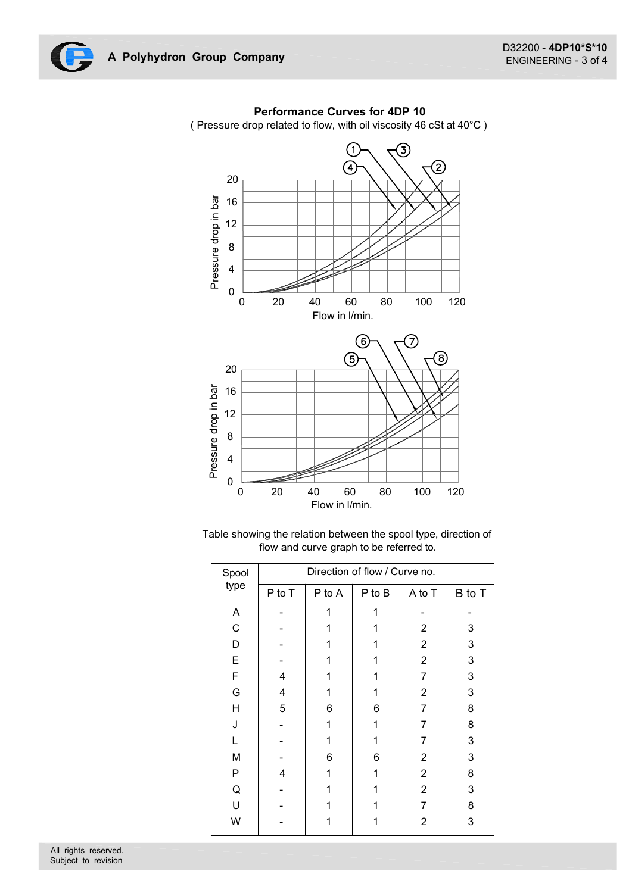

## Performance Curves for 4DP 10

( Pressure drop related to flow, with oil viscosity 46 cSt at 40°C )

| 20                       |                               |                |                                                                |                  |                           |  |  |
|--------------------------|-------------------------------|----------------|----------------------------------------------------------------|------------------|---------------------------|--|--|
| $16\,$                   |                               |                |                                                                |                  |                           |  |  |
| Pressure drop in bar     |                               |                |                                                                |                  |                           |  |  |
| 12                       |                               |                |                                                                |                  |                           |  |  |
| $\,8\,$                  |                               |                |                                                                |                  |                           |  |  |
| $\overline{\mathbf{4}}$  |                               |                |                                                                |                  |                           |  |  |
|                          |                               |                |                                                                |                  |                           |  |  |
| $\pmb{0}$<br>$\mathbf 0$ | 20                            | 40             | 60<br>80                                                       | 100              | 120                       |  |  |
|                          |                               | Flow in I/min. |                                                                |                  |                           |  |  |
|                          |                               |                |                                                                |                  |                           |  |  |
|                          |                               |                | able showing the relation between the spool type, direction of |                  |                           |  |  |
|                          |                               |                | flow and curve graph to be referred to.                        |                  |                           |  |  |
| Spool                    | Direction of flow / Curve no. |                |                                                                |                  |                           |  |  |
| type                     | P to T                        | P to A         | $P$ to $B$                                                     | A to T           | B to T                    |  |  |
| $\mathsf{A}$             | $\overline{a}$                | $\mathbf 1$    | $\mathbf{1}$                                                   | ٠                |                           |  |  |
| $\mathsf C$              |                               | 1              | 1                                                              | $\boldsymbol{2}$ | 3                         |  |  |
| D                        | ٠                             | 1              | 1                                                              | $\sqrt{2}$       | 3                         |  |  |
| E                        | ٠                             | $\mathbf{1}$   | 1                                                              | $\sqrt{2}$       | 3                         |  |  |
| F                        | 4                             | $\mathbf{1}$   | $\mathbf{1}$                                                   | $\boldsymbol{7}$ | 3                         |  |  |
| G                        | 4                             | 1              | 1                                                              | $\boldsymbol{2}$ | 3                         |  |  |
| H                        | 5                             | 6              | 6                                                              | $\boldsymbol{7}$ | 8                         |  |  |
| J                        |                               | 1              | 1                                                              | $\boldsymbol{7}$ | 8                         |  |  |
| L                        | $\overline{\phantom{0}}$      | 1              | 1                                                              | $\overline{7}$   | $\ensuremath{\mathsf{3}}$ |  |  |
| M                        | $\blacksquare$                | 6              | 6                                                              | $\sqrt{2}$       | 3                         |  |  |
| $\mathsf{P}$             | $\overline{\mathbf{4}}$       | $\mathbf{1}$   | $\mathbf 1$                                                    | $\boldsymbol{2}$ | 8                         |  |  |
| Q                        |                               | $\mathbf{1}$   | 1                                                              | $\boldsymbol{2}$ | 3                         |  |  |
| $\sf U$                  |                               | 1              | 1                                                              | $\boldsymbol{7}$ | $\bf 8$                   |  |  |
| ${\sf W}$                | $\blacksquare$                | $\mathbf 1$    | $\mathbf 1$                                                    | $\boldsymbol{2}$ | $\mathsf 3$               |  |  |
|                          |                               |                |                                                                |                  |                           |  |  |
|                          |                               |                |                                                                |                  |                           |  |  |
|                          |                               |                |                                                                |                  |                           |  |  |
|                          |                               |                |                                                                |                  |                           |  |  |